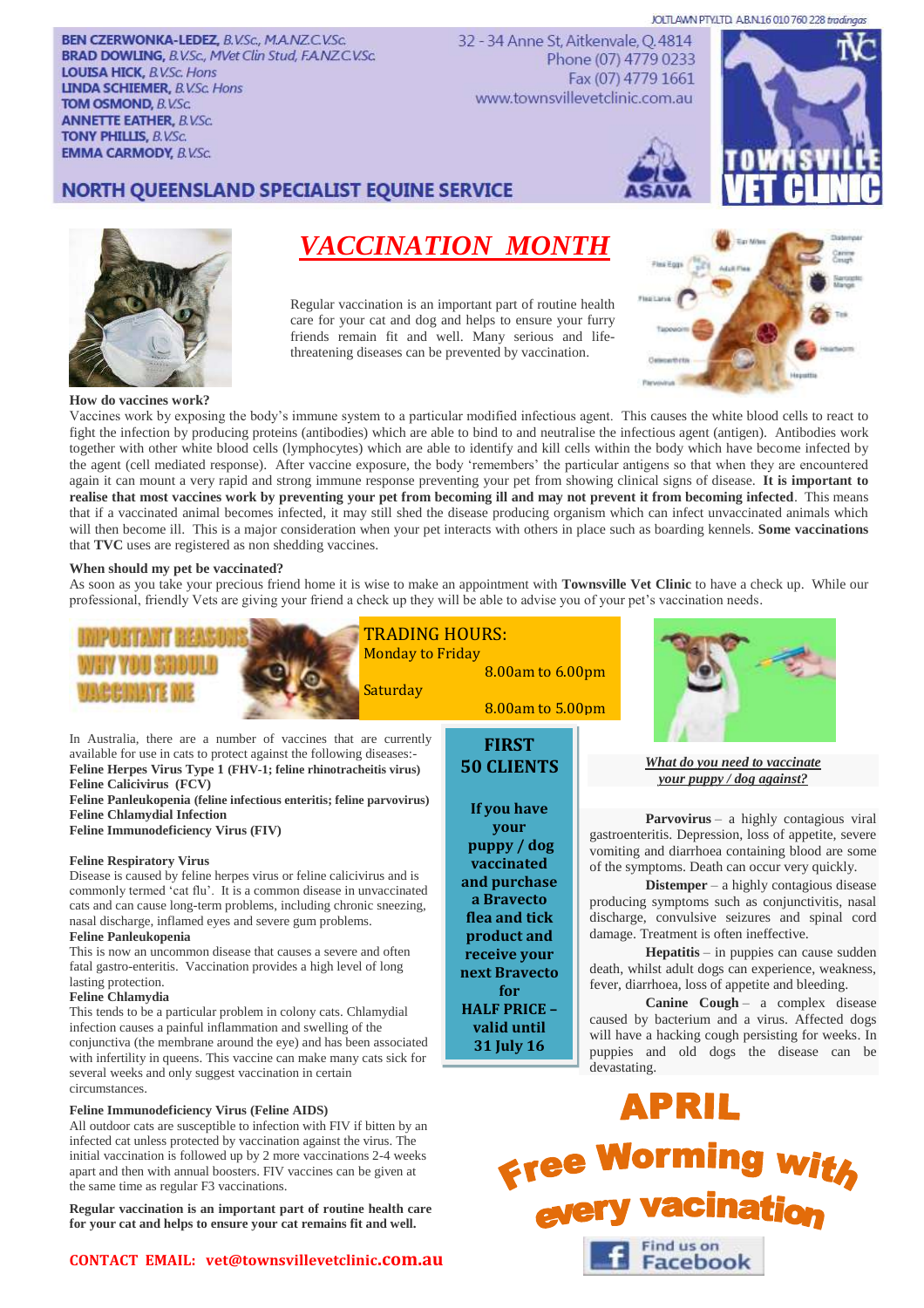JOLTLAWN PTY.LTD A.B.N.16 010 760 228 tradingas

**BEN CZERWONKA-LEDEZ, B.V.Sc., M.A.NZ.C.V.Sc. BRAD DOWLING, B.V.Sc., MVet Clin Stud, F.A.NZ.C.V.Sc. LOUISA HICK, B.V.Sc. Hons LINDA SCHIEMER, B.V.Sc. Hons TOM OSMOND, B.V.Sc. ANNETTE EATHER, B.V.Sc. TONY PHILLIS. B.V.Sc. EMMA CARMODY, B.V.Sc.** 

32 - 34 Anne St, Aitkenvale, Q.4814 Phone (07) 4779 0233 Fax (07) 4779 1661 www.townsvillevetclinic.com.au



# NORTH QUEENSLAND SPECIALIST EQUINE SERVICE



# *VACCINATION MONTH*

Regular vaccination is an important part of routine health care for your cat and dog and helps to ensure your furry friends remain fit and well. Many serious and lifethreatening diseases can be prevented by vaccination.



Find us on **Facebook** 

## **How do vaccines work?**

Vaccines work by exposing the body's immune system to a particular modified infectious agent. This causes the white blood cells to react to fight the infection by producing proteins (antibodies) which are able to bind to and neutralise the infectious agent (antigen). Antibodies work together with other white blood cells (lymphocytes) which are able to identify and kill cells within the body which have become infected by the agent (cell mediated response). After vaccine exposure, the body 'remembers' the particular antigens so that when they are encountered again it can mount a very rapid and strong immune response preventing your pet from showing clinical signs of disease. **It is important to realise that most vaccines work by preventing your pet from becoming ill and may not prevent it from becoming infected**. This means that if a vaccinated animal becomes infected, it may still shed the disease producing organism which can infect unvaccinated animals which will then become ill. This is a major consideration when your pet interacts with others in place such as boarding kennels. **Some vaccinations**  that **TVC** uses are registered as non shedding vaccines.

# **When should my pet be vaccinated?**

As soon as you take your precious friend home it is wise to make an appointment with **Townsville Vet Clinic** to have a check up. While our professional, friendly Vets are giving your friend a check up they will be able to advise you of your pet's vaccination needs.



infected cat unless protected by vaccination against the virus. The initial vaccination is followed up by 2 more vaccinations 2-4 weeks apart and then with annual boosters. FIV vaccines can be given at the same time as regular F3 vaccinations.

**Regular vaccination is an important part of routine health care for your cat and helps to ensure your cat remains fit and well.**